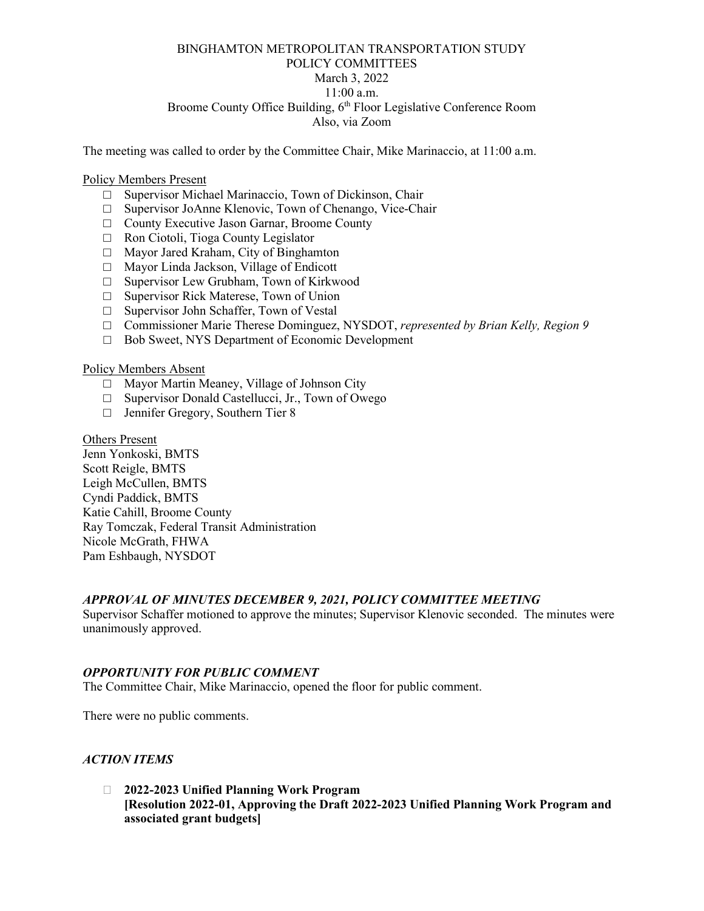# BINGHAMTON METROPOLITAN TRANSPORTATION STUDY POLICY COMMITTEES March 3, 2022 11:00 a.m. Broome County Office Building, 6<sup>th</sup> Floor Legislative Conference Room Also, via Zoom

The meeting was called to order by the Committee Chair, Mike Marinaccio, at 11:00 a.m.

#### Policy Members Present

- □ Supervisor Michael Marinaccio, Town of Dickinson, Chair
- □ Supervisor JoAnne Klenovic, Town of Chenango, Vice-Chair
- □ County Executive Jason Garnar, Broome County
- □ Ron Ciotoli, Tioga County Legislator
- □ Mayor Jared Kraham, City of Binghamton
- □ Mayor Linda Jackson, Village of Endicott
- □ Supervisor Lew Grubham, Town of Kirkwood
- □ Supervisor Rick Materese, Town of Union
- □ Supervisor John Schaffer, Town of Vestal
- □ Commissioner Marie Therese Dominguez, NYSDOT, *represented by Brian Kelly, Region 9*
- □ Bob Sweet, NYS Department of Economic Development

### Policy Members Absent

- □ Mayor Martin Meaney, Village of Johnson City
- $\Box$  Supervisor Donald Castellucci, Jr., Town of Owego
- □ Jennifer Gregory, Southern Tier 8

Others Present Jenn Yonkoski, BMTS Scott Reigle, BMTS Leigh McCullen, BMTS Cyndi Paddick, BMTS Katie Cahill, Broome County Ray Tomczak, Federal Transit Administration Nicole McGrath, FHWA Pam Eshbaugh, NYSDOT

#### *APPROVAL OF MINUTES DECEMBER 9, 2021, POLICY COMMITTEE MEETING*

Supervisor Schaffer motioned to approve the minutes; Supervisor Klenovic seconded. The minutes were unanimously approved.

#### *OPPORTUNITY FOR PUBLIC COMMENT*

The Committee Chair, Mike Marinaccio, opened the floor for public comment.

There were no public comments.

#### *ACTION ITEMS*

 **2022-2023 Unified Planning Work Program [Resolution 2022-01, Approving the Draft 2022-2023 Unified Planning Work Program and associated grant budgets]**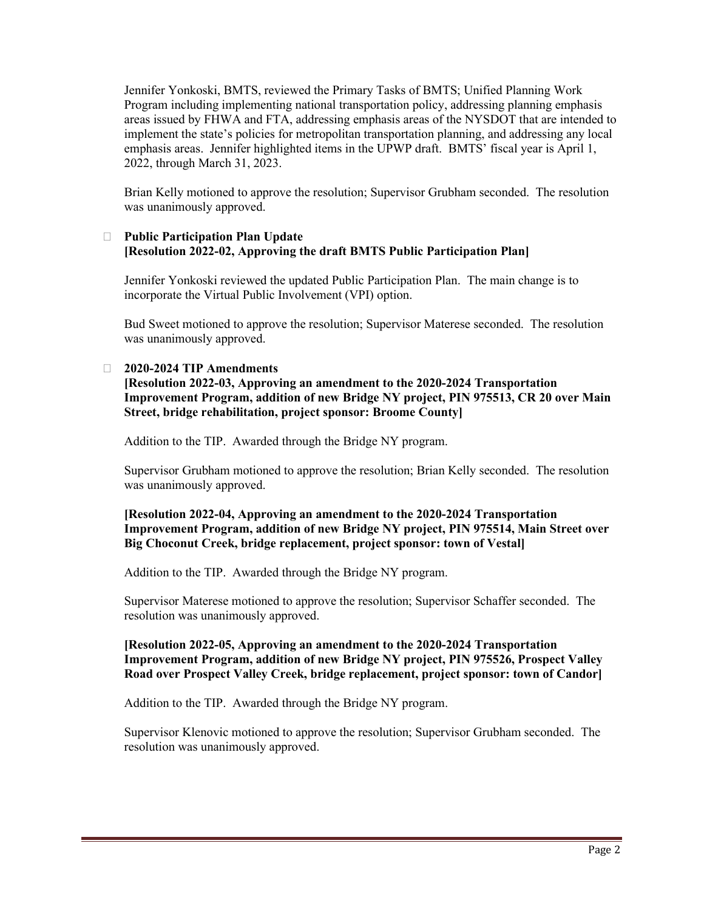Jennifer Yonkoski, BMTS, reviewed the Primary Tasks of BMTS; Unified Planning Work Program including implementing national transportation policy, addressing planning emphasis areas issued by FHWA and FTA, addressing emphasis areas of the NYSDOT that are intended to implement the state's policies for metropolitan transportation planning, and addressing any local emphasis areas. Jennifer highlighted items in the UPWP draft. BMTS' fiscal year is April 1, 2022, through March 31, 2023.

Brian Kelly motioned to approve the resolution; Supervisor Grubham seconded. The resolution was unanimously approved.

# **Public Participation Plan Update [Resolution 2022-02, Approving the draft BMTS Public Participation Plan]**

Jennifer Yonkoski reviewed the updated Public Participation Plan. The main change is to incorporate the Virtual Public Involvement (VPI) option.

Bud Sweet motioned to approve the resolution; Supervisor Materese seconded. The resolution was unanimously approved.

### **2020-2024 TIP Amendments**

**[Resolution 2022-03, Approving an amendment to the 2020-2024 Transportation Improvement Program, addition of new Bridge NY project, PIN 975513, CR 20 over Main Street, bridge rehabilitation, project sponsor: Broome County]**

Addition to the TIP. Awarded through the Bridge NY program.

Supervisor Grubham motioned to approve the resolution; Brian Kelly seconded. The resolution was unanimously approved.

# **[Resolution 2022-04, Approving an amendment to the 2020-2024 Transportation Improvement Program, addition of new Bridge NY project, PIN 975514, Main Street over Big Choconut Creek, bridge replacement, project sponsor: town of Vestal]**

Addition to the TIP. Awarded through the Bridge NY program.

Supervisor Materese motioned to approve the resolution; Supervisor Schaffer seconded. The resolution was unanimously approved.

# **[Resolution 2022-05, Approving an amendment to the 2020-2024 Transportation Improvement Program, addition of new Bridge NY project, PIN 975526, Prospect Valley Road over Prospect Valley Creek, bridge replacement, project sponsor: town of Candor]**

Addition to the TIP. Awarded through the Bridge NY program.

Supervisor Klenovic motioned to approve the resolution; Supervisor Grubham seconded. The resolution was unanimously approved.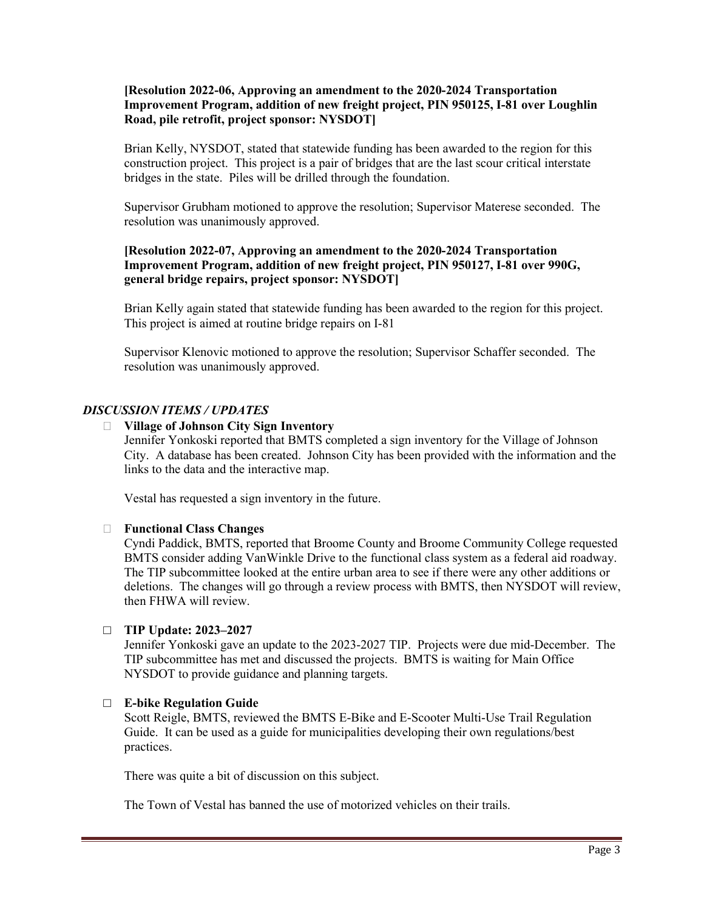### **[Resolution 2022-06, Approving an amendment to the 2020-2024 Transportation Improvement Program, addition of new freight project, PIN 950125, I-81 over Loughlin Road, pile retrofit, project sponsor: NYSDOT]**

Brian Kelly, NYSDOT, stated that statewide funding has been awarded to the region for this construction project. This project is a pair of bridges that are the last scour critical interstate bridges in the state. Piles will be drilled through the foundation.

Supervisor Grubham motioned to approve the resolution; Supervisor Materese seconded. The resolution was unanimously approved.

# **[Resolution 2022-07, Approving an amendment to the 2020-2024 Transportation Improvement Program, addition of new freight project, PIN 950127, I-81 over 990G, general bridge repairs, project sponsor: NYSDOT]**

Brian Kelly again stated that statewide funding has been awarded to the region for this project. This project is aimed at routine bridge repairs on I-81

Supervisor Klenovic motioned to approve the resolution; Supervisor Schaffer seconded. The resolution was unanimously approved.

# *DISCUSSION ITEMS / UPDATES*

#### **Village of Johnson City Sign Inventory**

Jennifer Yonkoski reported that BMTS completed a sign inventory for the Village of Johnson City. A database has been created. Johnson City has been provided with the information and the links to the data and the interactive map.

Vestal has requested a sign inventory in the future.

# **Functional Class Changes**

Cyndi Paddick, BMTS, reported that Broome County and Broome Community College requested BMTS consider adding VanWinkle Drive to the functional class system as a federal aid roadway. The TIP subcommittee looked at the entire urban area to see if there were any other additions or deletions. The changes will go through a review process with BMTS, then NYSDOT will review, then FHWA will review.

# □ **TIP Update: 2023–2027**

Jennifer Yonkoski gave an update to the 2023-2027 TIP. Projects were due mid-December. The TIP subcommittee has met and discussed the projects. BMTS is waiting for Main Office NYSDOT to provide guidance and planning targets.

# □ **E-bike Regulation Guide**

Scott Reigle, BMTS, reviewed the BMTS E-Bike and E-Scooter Multi-Use Trail Regulation Guide. It can be used as a guide for municipalities developing their own regulations/best practices.

There was quite a bit of discussion on this subject.

The Town of Vestal has banned the use of motorized vehicles on their trails.